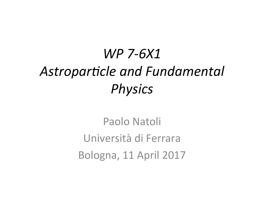## *WP 7-6X1*  Astroparticle and Fundamental *Physics*

Paolo Natoli Università di Ferrara Bologna, 11 April 2017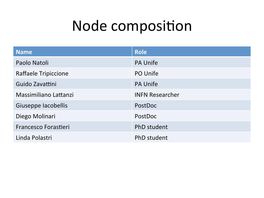## Node composition

| <b>Name</b>                 | <b>Role</b>            |
|-----------------------------|------------------------|
| Paolo Natoli                | <b>PA Unife</b>        |
| Raffaele Tripiccione        | PO Unife               |
| Guido Zavattini             | <b>PA Unife</b>        |
| Massimiliano Lattanzi       | <b>INFN Researcher</b> |
| Giuseppe Iacobellis         | PostDoc                |
| Diego Molinari              | PostDoc                |
| <b>Francesco Forastieri</b> | <b>PhD</b> student     |
| Linda Polastri              | PhD student            |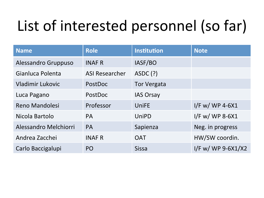# List of interested personnel (so far)

| <b>Name</b>             | <b>Role</b>           | <b>Institution</b> | <b>Note</b>          |
|-------------------------|-----------------------|--------------------|----------------------|
| Alessandro Gruppuso     | <b>INAF R</b>         | IASF/BO            |                      |
| Gianluca Polenta        | <b>ASI Researcher</b> | ASDC (?)           |                      |
| <b>Vladimir Lukovic</b> | PostDoc               | <b>Tor Vergata</b> |                      |
| Luca Pagano             | PostDoc               | <b>IAS Orsay</b>   |                      |
| <b>Reno Mandolesi</b>   | Professor             | <b>UniFE</b>       | I/F w/ WP 4-6X1      |
| Nicola Bartolo          | <b>PA</b>             | <b>UniPD</b>       | I/F w/ WP 8-6X1      |
| Alessandro Melchiorri   | <b>PA</b>             | Sapienza           | Neg. in progress     |
| Andrea Zacchei          | <b>INAF R</b>         | <b>OAT</b>         | HW/SW coordin.       |
| Carlo Baccigalupi       | PO                    | <b>Sissa</b>       | I/F w/ WP $9-6X1/X2$ |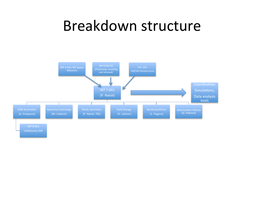#### Breakdown structure